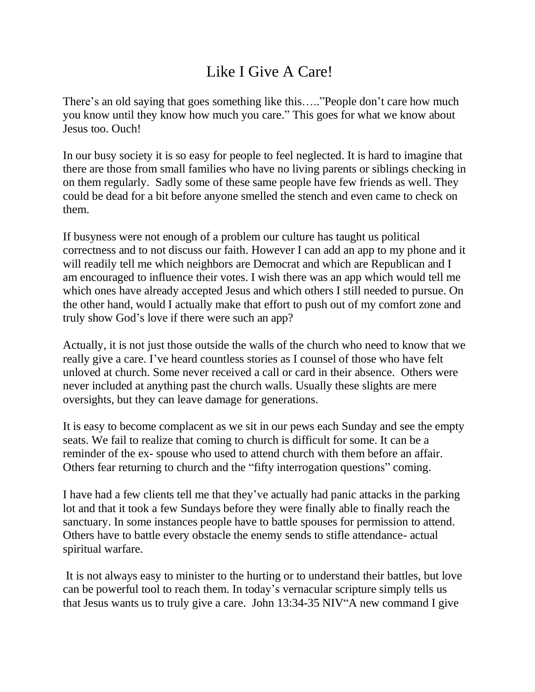## Like I Give A Care!

There's an old saying that goes something like this….."People don't care how much you know until they know how much you care." This goes for what we know about Jesus too. Ouch!

In our busy society it is so easy for people to feel neglected. It is hard to imagine that there are those from small families who have no living parents or siblings checking in on them regularly. Sadly some of these same people have few friends as well. They could be dead for a bit before anyone smelled the stench and even came to check on them.

If busyness were not enough of a problem our culture has taught us political correctness and to not discuss our faith. However I can add an app to my phone and it will readily tell me which neighbors are Democrat and which are Republican and I am encouraged to influence their votes. I wish there was an app which would tell me which ones have already accepted Jesus and which others I still needed to pursue. On the other hand, would I actually make that effort to push out of my comfort zone and truly show God's love if there were such an app?

Actually, it is not just those outside the walls of the church who need to know that we really give a care. I've heard countless stories as I counsel of those who have felt unloved at church. Some never received a call or card in their absence. Others were never included at anything past the church walls. Usually these slights are mere oversights, but they can leave damage for generations.

It is easy to become complacent as we sit in our pews each Sunday and see the empty seats. We fail to realize that coming to church is difficult for some. It can be a reminder of the ex- spouse who used to attend church with them before an affair. Others fear returning to church and the "fifty interrogation questions" coming.

I have had a few clients tell me that they've actually had panic attacks in the parking lot and that it took a few Sundays before they were finally able to finally reach the sanctuary. In some instances people have to battle spouses for permission to attend. Others have to battle every obstacle the enemy sends to stifle attendance- actual spiritual warfare.

It is not always easy to minister to the hurting or to understand their battles, but love can be powerful tool to reach them. In today's vernacular scripture simply tells us that Jesus wants us to truly give a care. John 13:34-35 NIV"A new command I give